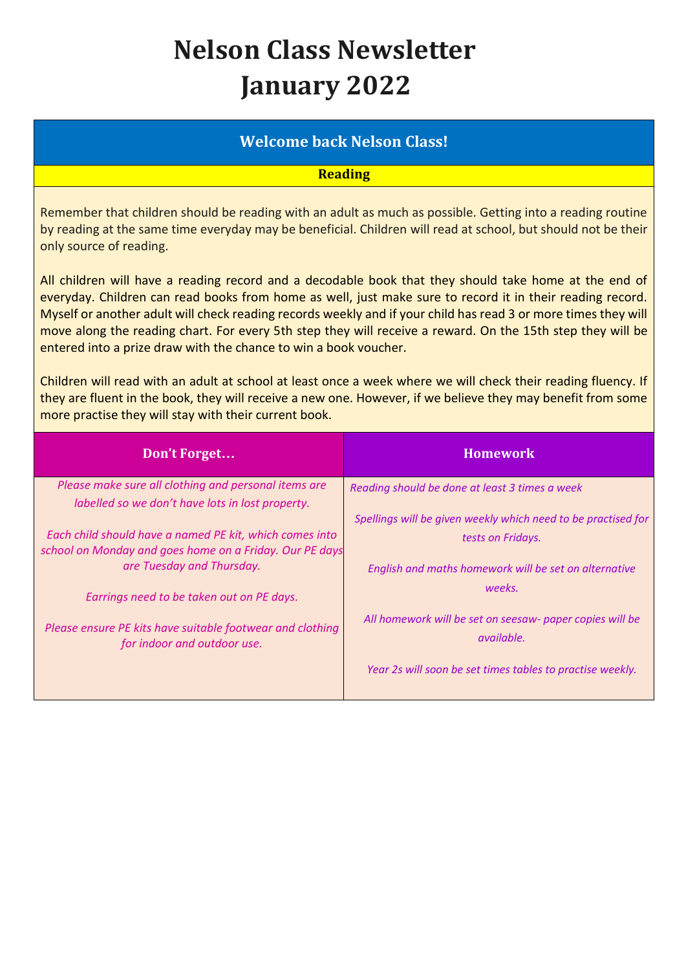## **Nelson Class Newsletter January 2022**

## **Welcome back Nelson Class!**

**Reading**

Remember that children should be reading with an adult as much as possible. Getting into a reading routine by reading at the same time everyday may be beneficial. Children will read at school, but should not be their only source of reading.

All children will have a reading record and a decodable book that they should take home at the end of everyday. Children can read books from home as well, just make sure to record it in their reading record. Myself or another adult will check reading records weekly and if your child has read 3 or more times they will move along the reading chart. For every 5th step they will receive a reward. On the 15th step they will be entered into a prize draw with the chance to win a book voucher.

Children will read with an adult at school at least once a week where we will check their reading fluency. If they are fluent in the book, they will receive a new one. However, if we believe they may benefit from some more practise they will stay with their current book.

| Don't Forget                                                                                                       | <b>Homework</b>                                                               |
|--------------------------------------------------------------------------------------------------------------------|-------------------------------------------------------------------------------|
| Please make sure all clothing and personal items are                                                               | Reading should be done at least 3 times a week                                |
| labelled so we don't have lots in lost property.                                                                   |                                                                               |
|                                                                                                                    | Spellings will be given weekly which need to be practised for                 |
| Each child should have a named PE kit, which comes into<br>school on Monday and goes home on a Friday. Our PE days | tests on Fridays.                                                             |
| are Tuesday and Thursday.                                                                                          | English and maths homework will be set on alternative                         |
| Earrings need to be taken out on PE days.                                                                          | weeks.                                                                        |
| Please ensure PE kits have suitable footwear and clothing<br>for indoor and outdoor use.                           | All homework will be set on seesaw- paper copies will be<br><i>available.</i> |
|                                                                                                                    | Year 2s will soon be set times tables to practise weekly.                     |